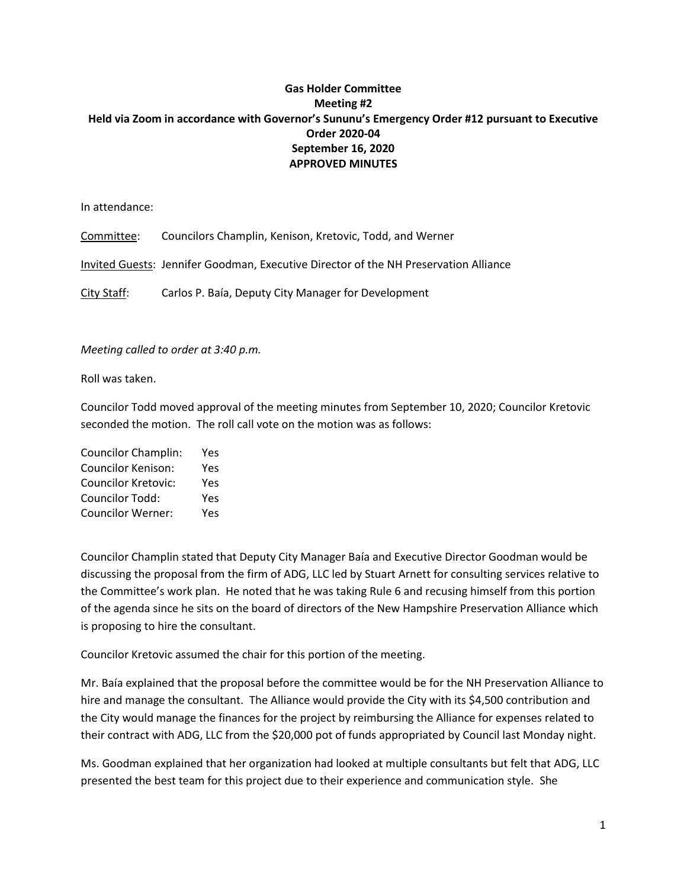## **Gas Holder Committee Meeting #2 Held via Zoom in accordance with Governor's Sununu's Emergency Order #12 pursuant to Executive Order 2020-04 September 16, 2020 APPROVED MINUTES**

In attendance:

Committee: Councilors Champlin, Kenison, Kretovic, Todd, and Werner

Invited Guests: Jennifer Goodman, Executive Director of the NH Preservation Alliance

City Staff: Carlos P. Baía, Deputy City Manager for Development

*Meeting called to order at 3:40 p.m.*

Roll was taken.

Councilor Todd moved approval of the meeting minutes from September 10, 2020; Councilor Kretovic seconded the motion. The roll call vote on the motion was as follows:

Councilor Champlin: Yes Councilor Kenison: Yes Councilor Kretovic: Yes Councilor Todd: Yes Councilor Werner: Yes

Councilor Champlin stated that Deputy City Manager Baía and Executive Director Goodman would be discussing the proposal from the firm of ADG, LLC led by Stuart Arnett for consulting services relative to the Committee's work plan. He noted that he was taking Rule 6 and recusing himself from this portion of the agenda since he sits on the board of directors of the New Hampshire Preservation Alliance which is proposing to hire the consultant.

Councilor Kretovic assumed the chair for this portion of the meeting.

Mr. Baía explained that the proposal before the committee would be for the NH Preservation Alliance to hire and manage the consultant. The Alliance would provide the City with its \$4,500 contribution and the City would manage the finances for the project by reimbursing the Alliance for expenses related to their contract with ADG, LLC from the \$20,000 pot of funds appropriated by Council last Monday night.

Ms. Goodman explained that her organization had looked at multiple consultants but felt that ADG, LLC presented the best team for this project due to their experience and communication style. She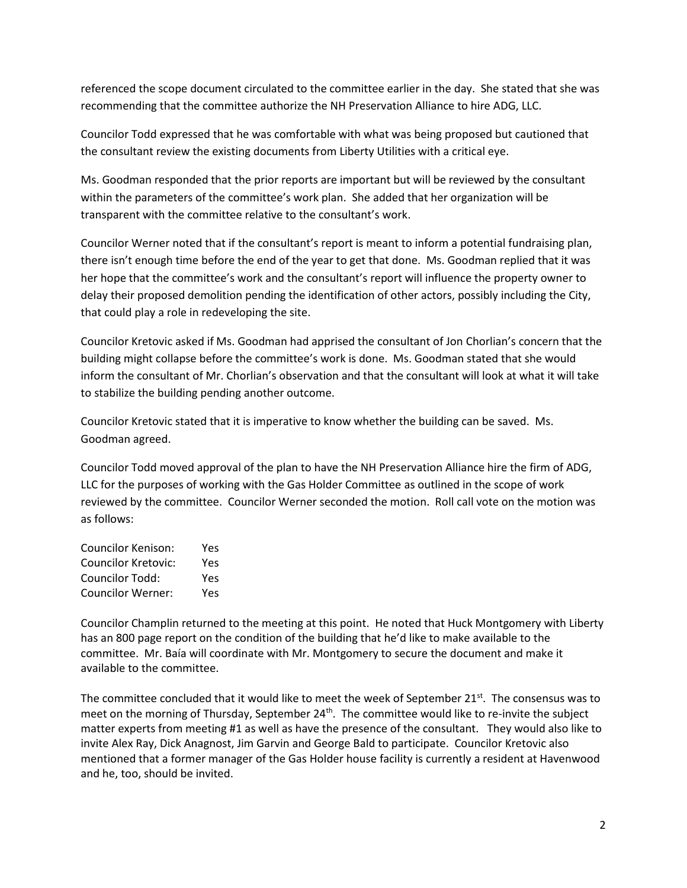referenced the scope document circulated to the committee earlier in the day. She stated that she was recommending that the committee authorize the NH Preservation Alliance to hire ADG, LLC.

Councilor Todd expressed that he was comfortable with what was being proposed but cautioned that the consultant review the existing documents from Liberty Utilities with a critical eye.

Ms. Goodman responded that the prior reports are important but will be reviewed by the consultant within the parameters of the committee's work plan. She added that her organization will be transparent with the committee relative to the consultant's work.

Councilor Werner noted that if the consultant's report is meant to inform a potential fundraising plan, there isn't enough time before the end of the year to get that done. Ms. Goodman replied that it was her hope that the committee's work and the consultant's report will influence the property owner to delay their proposed demolition pending the identification of other actors, possibly including the City, that could play a role in redeveloping the site.

Councilor Kretovic asked if Ms. Goodman had apprised the consultant of Jon Chorlian's concern that the building might collapse before the committee's work is done. Ms. Goodman stated that she would inform the consultant of Mr. Chorlian's observation and that the consultant will look at what it will take to stabilize the building pending another outcome.

Councilor Kretovic stated that it is imperative to know whether the building can be saved. Ms. Goodman agreed.

Councilor Todd moved approval of the plan to have the NH Preservation Alliance hire the firm of ADG, LLC for the purposes of working with the Gas Holder Committee as outlined in the scope of work reviewed by the committee. Councilor Werner seconded the motion. Roll call vote on the motion was as follows:

| Councilor Kenison:  | Yes |
|---------------------|-----|
| Councilor Kretovic: | Yes |
| Councilor Todd:     | Yes |
| Councilor Werner:   | Yes |

Councilor Champlin returned to the meeting at this point. He noted that Huck Montgomery with Liberty has an 800 page report on the condition of the building that he'd like to make available to the committee. Mr. Baía will coordinate with Mr. Montgomery to secure the document and make it available to the committee.

The committee concluded that it would like to meet the week of September  $21^{st}$ . The consensus was to meet on the morning of Thursday, September 24<sup>th</sup>. The committee would like to re-invite the subject matter experts from meeting #1 as well as have the presence of the consultant. They would also like to invite Alex Ray, Dick Anagnost, Jim Garvin and George Bald to participate. Councilor Kretovic also mentioned that a former manager of the Gas Holder house facility is currently a resident at Havenwood and he, too, should be invited.